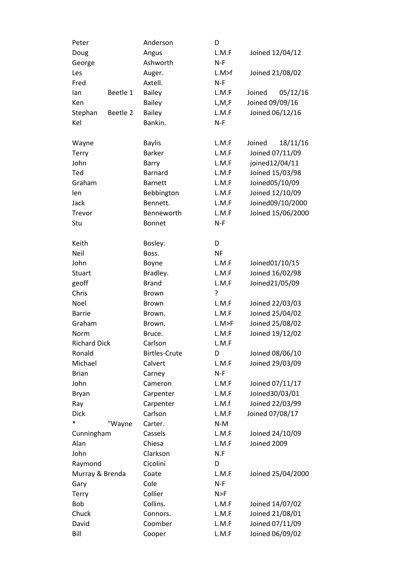| Peter               | Anderson             | D         |                    |
|---------------------|----------------------|-----------|--------------------|
| Doug                | Angus                | L.M.F     | Joined 12/04/12    |
| George              | Ashworth             | $N-F$     |                    |
| Les                 | Auger.               | L.M>f     | Joined 21/08/02    |
| Fred                | Axtell.              | $N-F$     |                    |
| lan<br>Beetle 1     | <b>Bailey</b>        | L.M.F     | Joined<br>05/12/16 |
| Ken                 | <b>Bailey</b>        | L, M, F   | Joined 09/09/16    |
| Beetle 2<br>Stephan | <b>Bailey</b>        | L.M.F     | Joined 06/12/16    |
| Kel                 | Bankin.              | $N-F$     |                    |
|                     |                      |           |                    |
| Wayne               | <b>Baylis</b>        | L.M.F     | Joined<br>18/11/16 |
| Terry               | <b>Barker</b>        | L.M.F     | Joined 07/11/09    |
| John                | Barry                | L.M.F     | joined12/04/11     |
| Ted                 | <b>Barnard</b>       | L.M.F     | Joined 15/03/98    |
| Graham              | <b>Barnett</b>       | L.M.F     | Joined05/10/09     |
| len                 | Bebbington           | L.M.F     | Joined 12/10/09    |
| Jack                | Bennett.             | L.M.F     | Joined09/10/2000   |
| Trevor              | Benneworth           | L.M.F     | Joined 15/06/2000  |
| Stu                 | <b>Bonnet</b>        | $N-F$     |                    |
|                     |                      |           |                    |
| Keith               | Bosley.              | D         |                    |
| Neil                | Boss.                | <b>NF</b> |                    |
| John                | Boyne                | L.M.F     | Joined01/10/15     |
| Stuart              | Bradley.             | L.M.F     | Joined 16/02/98    |
| geoff               | <b>Brand</b>         | L.M.F     | Joined21/05/09     |
| Chris               | <b>Brown</b>         | ?         |                    |
| Noel                | <b>Brown</b>         | L.M.F     | Joined 22/03/03    |
| <b>Barrie</b>       | Brown.               | L.M.F     | Joined 25/04/02    |
| Graham              | Brown.               | L.M>F     | Joined 25/08/02    |
| Norm                | Bruce.               | L.M.F     | Joined 19/12/02    |
| <b>Richard Dick</b> | Carlson              | L.M.F     |                    |
| Ronald              | <b>Birtles-Crute</b> | D         | Joined 08/06/10    |
| Michael             | Calvert              | L.M.F     | Joined 29/03/09    |
| <b>Brian</b>        | Carney               | $N-F$     |                    |
| John                | Cameron              | L.M.F     | Joined 07/11/17    |
| <b>Bryan</b>        | Carpenter            | L.M.F     | Joined30/03/01     |
| Ray                 | Carpenter            | L.M.f     | Joined 22/03/99    |
| <b>Dick</b>         | Carlson              | L.M.F     | Joined 07/08/17    |
| *<br>"Wayne         | Carter.              | $N-M$     |                    |
| Cunningham          | Cassels              | L.M.F     | Joined 24/10/09    |
| Alan                | Chiesa               | L.M.F     | Joined 2009        |
| John                | Clarkson             | N.F       |                    |
| Raymond             | Cicolini             | D         |                    |
| Murray & Brenda     | Coate                | L.M.F     | Joined 25/04/2000  |
| Gary                | Cole                 | $N-F$     |                    |
| Terry               | Collier              | N>F       |                    |
| Bob                 | Collins.             | L.M.F     | Joined 14/07/02    |
| Chuck               | Connors.             | L.M.F     | Joined 21/08/01    |
| David               | Coomber              | L.M.F     | Joined 07/11/09    |
| Bill                | Cooper               | L.M.F     | Joined 06/09/02    |
|                     |                      |           |                    |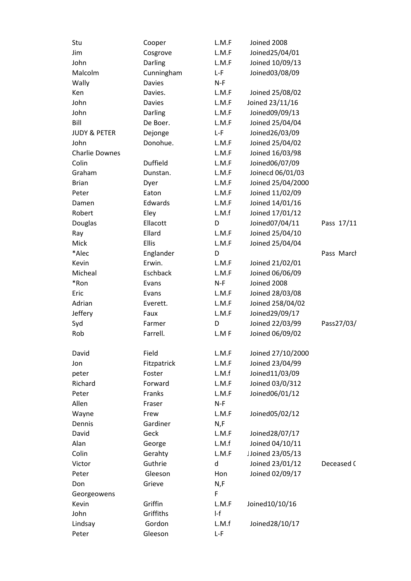| Stu                     | Cooper          | L.M.F | Joined 2008       |            |
|-------------------------|-----------------|-------|-------------------|------------|
| Jim                     | Cosgrove        | L.M.F | Joined25/04/01    |            |
| John                    | Darling         | L.M.F | Joined 10/09/13   |            |
| Malcolm                 | Cunningham      | L-F   | Joined03/08/09    |            |
| Wally                   | Davies          | $N-F$ |                   |            |
| Ken                     | Davies.         | L.M.F | Joined 25/08/02   |            |
| John                    | <b>Davies</b>   | L.M.F | Joined 23/11/16   |            |
| John                    | Darling         | L.M.F | Joined09/09/13    |            |
| Bill                    | De Boer.        | L.M.F | Joined 25/04/04   |            |
| <b>JUDY &amp; PETER</b> | Dejonge         | L-F   | Joined26/03/09    |            |
| John                    | Donohue.        | L.M.F | Joined 25/04/02   |            |
| <b>Charlie Downes</b>   |                 | L.M.F | Joined 16/03/98   |            |
| Colin                   | <b>Duffield</b> | L.M.F | Joined06/07/09    |            |
| Graham                  | Dunstan.        | L.M.F | Joinecd 06/01/03  |            |
| <b>Brian</b>            | Dyer            | L.M.F | Joined 25/04/2000 |            |
| Peter                   | Eaton           | L.M.F | Joined 11/02/09   |            |
| Damen                   | Edwards         | L.M.F | Joined 14/01/16   |            |
| Robert                  | Eley            | L.M.f | Joined 17/01/12   |            |
| Douglas                 | Ellacott        | D     | Joined07/04/11    | Pass 17/11 |
| Ray                     | Ellard          | L.M.F | Joined 25/04/10   |            |
| Mick                    | <b>Ellis</b>    | L.M.F | Joined 25/04/04   |            |
| *Alec                   | Englander       | D     |                   | Pass March |
| Kevin                   | Erwin.          | L.M.F | Joined 21/02/01   |            |
| Micheal                 | Eschback        | L.M.F | Joined 06/06/09   |            |
| *Ron                    | Evans           | $N-F$ | Joined 2008       |            |
| Eric                    | Evans           | L.M.F | Joined 28/03/08   |            |
| Adrian                  | Everett.        | L.M.F | Joined 258/04/02  |            |
| Jeffery                 | Faux            | L.M.F | Joined29/09/17    |            |
| Syd                     | Farmer          | D     | Joined 22/03/99   | Pass27/03/ |
| Rob                     | Farrell.        | L.MF  | Joined 06/09/02   |            |
| David                   | Field           | L.M.F | Joined 27/10/2000 |            |
| Jon                     | Fitzpatrick     | L.M.F | Joined 23/04/99   |            |
| peter                   | Foster          | L.M.f | Joined11/03/09    |            |
| Richard                 | Forward         | L.M.F | Joined 03/0/312   |            |
| Peter                   | Franks          | L.M.F | Joined06/01/12    |            |
| Allen                   | Fraser          | $N-F$ |                   |            |
| Wayne                   | Frew            | L.M.F | Joined05/02/12    |            |
| Dennis                  | Gardiner        | N, F  |                   |            |
| David                   | Geck            | L.M.F | Joined28/07/17    |            |
| Alan                    | George          | L.M.f | Joined 04/10/11   |            |
| Colin                   | Gerahty         | L.M.F | JJoined 23/05/13  |            |
| Victor                  | Guthrie         | d     | Joined 23/01/12   | Deceased C |
| Peter                   | Gleeson         | Hon   | Joined 02/09/17   |            |
| Don                     | Grieve          | N, F  |                   |            |
| Georgeowens             |                 | F     |                   |            |
| Kevin                   | Griffin         | L.M.F | Joined10/10/16    |            |
| John                    | Griffiths       | $I-f$ |                   |            |
| Lindsay                 | Gordon          | L.M.f | Joined28/10/17    |            |
| Peter                   | Gleeson         | $L-F$ |                   |            |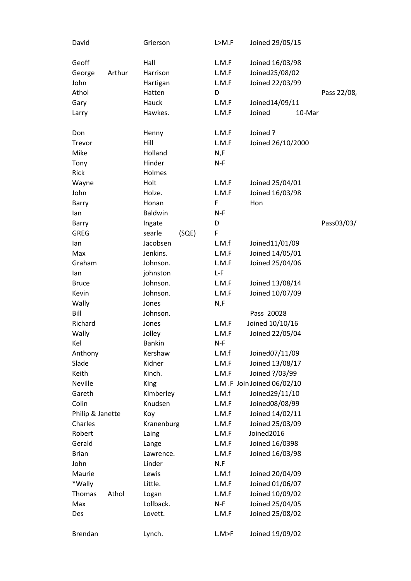| David            | Grierson        | L>M.F | Joined 29/05/15            |  |
|------------------|-----------------|-------|----------------------------|--|
| Geoff            | Hall            | L.M.F | Joined 16/03/98            |  |
| Arthur<br>George | Harrison        | L.M.F | Joined25/08/02             |  |
| John             | Hartigan        | L.M.F | Joined 22/03/99            |  |
| Athol            | Hatten          | D     | Pass 22/08,                |  |
| Gary             | Hauck           | L.M.F | Joined14/09/11             |  |
| Larry            | Hawkes.         | L.M.F | Joined<br>10-Mar           |  |
|                  |                 |       |                            |  |
| Don              | Henny           | L.M.F | Joined?                    |  |
| Trevor           | Hill            | L.M.F | Joined 26/10/2000          |  |
| Mike             | Holland         | N,F   |                            |  |
| Tony             | Hinder          | $N-F$ |                            |  |
| Rick             | Holmes          |       |                            |  |
| Wayne            | Holt            | L.M.F | Joined 25/04/01            |  |
| John             | Holze.          | L.M.F | Joined 16/03/98            |  |
| Barry            | Honan           | F     | Hon                        |  |
| lan              | Baldwin         | $N-F$ |                            |  |
| Barry            | Ingate          | D     | Pass03/03/                 |  |
| <b>GREG</b>      | searle<br>(SQE) | F     |                            |  |
| lan              | Jacobsen        | L.M.f | Joined11/01/09             |  |
| Max              | Jenkins.        | L.M.F | Joined 14/05/01            |  |
| Graham           | Johnson.        | L.M.F | Joined 25/04/06            |  |
| lan              | johnston        | L-F   |                            |  |
| <b>Bruce</b>     | Johnson.        | L.M.F | Joined 13/08/14            |  |
| Kevin            | Johnson.        | L.M.F | Joined 10/07/09            |  |
| Wally            | Jones           | N,F   |                            |  |
| Bill             | Johnson.        |       | Pass 20028                 |  |
| Richard          | Jones           | L.M.F | Joined 10/10/16            |  |
| Wally            | Jolley          | L.M.F | Joined 22/05/04            |  |
| Kel              | <b>Bankin</b>   | $N-F$ |                            |  |
| Anthony          | Kershaw         | L.M.f | Joined07/11/09             |  |
| Slade            | Kidner          | L.M.F | Joined 13/08/17            |  |
| Keith            | Kinch.          | L.M.F | Joined ?/03/99             |  |
| <b>Neville</b>   | King            |       | L.M.F Join Joined 06/02/10 |  |
| Gareth           | Kimberley       | L.M.f | Joined29/11/10             |  |
| Colin            | Knudsen         | L.M.F | Joined08/08/99             |  |
| Philip & Janette | Koy             | L.M.F | Joined 14/02/11            |  |
| Charles          | Kranenburg      | L.M.F | Joined 25/03/09            |  |
| Robert           | Laing           | L.M.F | Joined2016                 |  |
| Gerald           | Lange           | L.M.F | Joined 16/0398             |  |
| <b>Brian</b>     | Lawrence.       | L.M.F | Joined 16/03/98            |  |
| John             | Linder          | N.F   |                            |  |
| Maurie           | Lewis           | L.M.f | Joined 20/04/09            |  |
| *Wally           | Little.         | L.M.F | Joined 01/06/07            |  |
| Thomas<br>Athol  | Logan           | L.M.F | Joined 10/09/02            |  |
| Max              | Lollback.       | $N-F$ | Joined 25/04/05            |  |
| Des              | Lovett.         | L.M.F | Joined 25/08/02            |  |
| Brendan          | Lynch.          | L.M>F | Joined 19/09/02            |  |
|                  |                 |       |                            |  |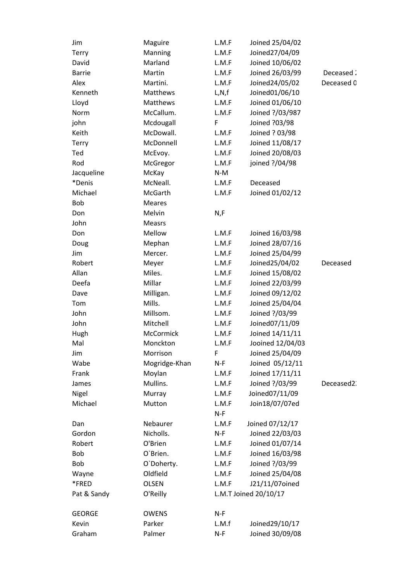| Jim           | Maguire       | L.M.F   | Joined 25/04/02       |            |
|---------------|---------------|---------|-----------------------|------------|
| Terry         | Manning       | L.M.F   | Joined27/04/09        |            |
| David         | Marland       | L.M.F   | Joined 10/06/02       |            |
| <b>Barrie</b> | Martin        | L.M.F   | Joined 26/03/99       | Deceased:  |
| Alex          | Martini.      | L.M.F   | Joined24/05/02        | Deceased 0 |
| Kenneth       | Matthews      | L, N, f | Joined01/06/10        |            |
| Lloyd         | Matthews      | L.M.F   | Joined 01/06/10       |            |
| Norm          | McCallum.     | L.M.F   | Joined ?/03/987       |            |
| john          | Mcdougall     | F       | Joined ?03/98         |            |
| Keith         | McDowall.     | L.M.F   | Joined ? 03/98        |            |
| Terry         | McDonnell     | L.M.F   | Joined 11/08/17       |            |
| Ted           | McEvoy.       | L.M.F   | Joined 20/08/03       |            |
| Rod           | McGregor      | L.M.F   | joined ?/04/98        |            |
| Jacqueline    | McKay         | $N-M$   |                       |            |
| *Denis        | McNeall.      | L.M.F   | Deceased              |            |
| Michael       | McGarth       | L.M.F   | Joined 01/02/12       |            |
| Bob           | Meares        |         |                       |            |
| Don           | Melvin        | N, F    |                       |            |
| John          | <b>Measrs</b> |         |                       |            |
| Don           | Mellow        | L.M.F   | Joined 16/03/98       |            |
| Doug          | Mephan        | L.M.F   | Joined 28/07/16       |            |
| Jim           | Mercer.       | L.M.F   | Joined 25/04/99       |            |
| Robert        | Meyer         | L.M.F   | Joined25/04/02        | Deceased   |
| Allan         | Miles.        | L.M.F   | Joined 15/08/02       |            |
| Deefa         | Millar        | L.M.F   | Joined 22/03/99       |            |
| Dave          | Milligan.     | L.M.F   | Joined 09/12/02       |            |
| Tom           | Mills.        | L.M.F   | Joined 25/04/04       |            |
| John          | Millsom.      | L.M.F   | Joined ?/03/99        |            |
| John          | Mitchell      | L.M.F   | Joined07/11/09        |            |
| Hugh          | McCormick     | L.M.F   | Joined 14/11/11       |            |
| Mal           | Monckton      | L.M.F   | Jooined 12/04/03      |            |
| Jim           | Morrison      | F       | Joined 25/04/09       |            |
| Wabe          | Mogridge-Khan | $N-F$   | Joined 05/12/11       |            |
| Frank         | Moylan        | L.M.F   | Joined 17/11/11       |            |
| James         | Mullins.      | L.M.F   | Joined ?/03/99        | Deceased2. |
| Nigel         | Murray        | L.M.F   | Joined07/11/09        |            |
| Michael       | Mutton        | L.M.F   | Join18/07/07ed        |            |
|               |               | $N-F$   |                       |            |
| Dan           | Nebaurer      | L.M.F   | Joined 07/12/17       |            |
| Gordon        | Nicholls.     | $N-F$   | Joined 22/03/03       |            |
| Robert        | O'Brien       | L.M.F   | Joined 01/07/14       |            |
| Bob           | O'Brien.      | L.M.F   | Joined 16/03/98       |            |
| Bob           | O'Doherty.    | L.M.F   | Joined ?/03/99        |            |
| Wayne         | Oldfield      | L.M.F   | Joined 25/04/08       |            |
| *FRED         | <b>OLSEN</b>  | L.M.F   | J21/11/07oined        |            |
| Pat & Sandy   | O'Reilly      |         | L.M.T Joined 20/10/17 |            |
| <b>GEORGE</b> | <b>OWENS</b>  | $N-F$   |                       |            |
| Kevin         | Parker        | L.M.f   | Joined29/10/17        |            |
| Graham        | Palmer        | $N-F$   | Joined 30/09/08       |            |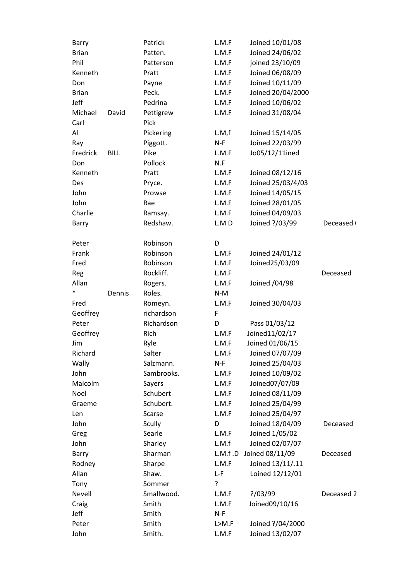| Barry        |             | Patrick       | L.M.F   | Joined 10/01/08   |            |
|--------------|-------------|---------------|---------|-------------------|------------|
| <b>Brian</b> |             | Patten.       | L.M.F   | Joined 24/06/02   |            |
| Phil         |             | Patterson     | L.M.F   | joined 23/10/09   |            |
| Kenneth      |             | Pratt         | L.M.F   | Joined 06/08/09   |            |
| Don          |             | Payne         | L.M.F   | Joined 10/11/09   |            |
| <b>Brian</b> |             | Peck.         | L.M.F   | Joined 20/04/2000 |            |
| Jeff         |             | Pedrina       | L.M.F   | Joined 10/06/02   |            |
| Michael      | David       | Pettigrew     | L.M.F   | Joined 31/08/04   |            |
| Carl         |             | Pick          |         |                   |            |
| Al           |             | Pickering     | L.M.f   | Joined 15/14/05   |            |
| Ray          |             | Piggott.      | $N-F$   | Joined 22/03/99   |            |
| Fredrick     | <b>BILL</b> | Pike          | L.M.F   | Jo05/12/11ined    |            |
| Don          |             | Pollock       | N.F     |                   |            |
| Kenneth      |             | Pratt         | L.M.F   | Joined 08/12/16   |            |
| Des          |             | Pryce.        | L.M.F   | Joined 25/03/4/03 |            |
| John         |             | Prowse        | L.M.F   | Joined 14/05/15   |            |
| John         |             | Rae           | L.M.F   | Joined 28/01/05   |            |
| Charlie      |             | Ramsay.       | L.M.F   | Joined 04/09/03   |            |
| Barry        |             | Redshaw.      | L.MD    | Joined ?/03/99    | Deceased ( |
|              |             |               |         |                   |            |
| Peter        |             | Robinson      | D       |                   |            |
| Frank        |             | Robinson      | L.M.F   | Joined 24/01/12   |            |
| Fred         |             | Robinson      | L.M.F   | Joined25/03/09    |            |
| Reg          |             | Rockliff.     | L.M.F   |                   | Deceased   |
| Allan        |             | Rogers.       | L.M.F   | Joined /04/98     |            |
| $\ast$       | Dennis      | Roles.        | N-M     |                   |            |
| Fred         |             | Romeyn.       | L.M.F   | Joined 30/04/03   |            |
| Geoffrey     |             | richardson    | F       |                   |            |
| Peter        |             | Richardson    | D       | Pass 01/03/12     |            |
| Geoffrey     |             | Rich          | L.M.F   | Joined11/02/17    |            |
| Jim          |             | Ryle          | L.M.F   | Joined 01/06/15   |            |
| Richard      |             | Salter        | L.M.F   | Joined 07/07/09   |            |
| Wally        |             | Salzmann.     | $N-F$   | Joined 25/04/03   |            |
| John         |             | Sambrooks.    | L.M.F   | Joined 10/09/02   |            |
| Malcolm      |             | Sayers        | L.M.F   | Joined07/07/09    |            |
| Noel         |             | Schubert      | L.M.F   | Joined 08/11/09   |            |
| Graeme       |             | Schubert.     | L.M.F   | Joined 25/04/99   |            |
| Len          |             | Scarse        | L.M.F   | Joined 25/04/97   |            |
| John         |             | <b>Scully</b> | D       | Joined 18/04/09   | Deceased   |
| Greg         |             | Searle        | L.M.F   | Joined 1/05/02    |            |
| John         |             | Sharley       | L.M.f   | Joined 02/07/07   |            |
| Barry        |             | Sharman       | L.M.f.D | Joined 08/11/09   | Deceased   |
| Rodney       |             | Sharpe        | L.M.F   | Joined 13/11/.11  |            |
| Allan        |             | Shaw.         | $L-F$   | Loined 12/12/01   |            |
|              |             | Sommer        | ۶.      |                   |            |
| Tony         |             |               |         |                   |            |
| Nevell       |             | Smallwood.    | L.M.F   | ? / 03 / 99       | Deceased 2 |
| Craig        |             | Smith         | L.M.F   | Joined09/10/16    |            |
| Jeff         |             | Smith         | $N-F$   |                   |            |
| Peter        |             | Smith         | L > M.F | Joined ?/04/2000  |            |
| John         |             | Smith.        | L.M.F   | Joined 13/02/07   |            |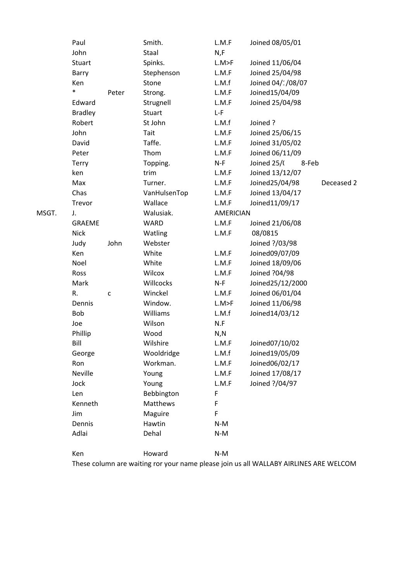|             | Paul           |       | Smith.       | L.M.F            | Joined 08/05/01     |            |  |
|-------------|----------------|-------|--------------|------------------|---------------------|------------|--|
|             | John           |       | Staal        | N, F             |                     |            |  |
|             | Stuart         |       | Spinks.      | L.M>F            | Joined 11/06/04     |            |  |
|             | Barry          |       | Stephenson   | L.M.F            | Joined 25/04/98     |            |  |
|             | Ken            |       | Stone        | L.M.f            | Joined 04/1/08/07   |            |  |
|             | $\ast$         | Peter | Strong.      | L.M.F            | Joined15/04/09      |            |  |
|             | Edward         |       | Strugnell    | L.M.F            | Joined 25/04/98     |            |  |
|             | <b>Bradley</b> |       | Stuart       | $L-F$            |                     |            |  |
|             | Robert         |       | St John      | L.M.f            | Joined?             |            |  |
|             | John           |       | Tait         | L.M.F            | Joined 25/06/15     |            |  |
|             | David          |       | Taffe.       | L.M.F            | Joined 31/05/02     |            |  |
|             | Peter          |       | Thom         | L.M.F            | Joined 06/11/09     |            |  |
|             | Terry          |       | Topping.     | $N-F$            | Joined 25/<br>8-Feb |            |  |
|             | ken            |       | trim         | L.M.F            | Joined 13/12/07     |            |  |
|             | Max            |       | Turner.      | L.M.F            | Joined25/04/98      | Deceased 2 |  |
|             | Chas           |       | VanHulsenTop | L.M.F            | Joined 13/04/17     |            |  |
|             | Trevor         |       | Wallace      | L.M.F            | Joined11/09/17      |            |  |
| MSGT.<br>J. |                |       | Walusiak.    | <b>AMERICIAN</b> |                     |            |  |
|             | <b>GRAEME</b>  |       | <b>WARD</b>  | L.M.F            | Joined 21/06/08     |            |  |
|             | <b>Nick</b>    |       | Watling      | L.M.F            | 08/0815             |            |  |
|             | Judy           | John  | Webster      |                  | Joined ?/03/98      |            |  |
|             | Ken            |       | White        | L.M.F            | Joined09/07/09      |            |  |
|             | Noel           |       | White        | L.M.F            | Joined 18/09/06     |            |  |
|             | Ross           |       | Wilcox       | L.M.F            | Joined ?04/98       |            |  |
|             | Mark           |       | Willcocks    | $N-F$            | Joined25/12/2000    |            |  |
|             | R.             | C     | Winckel      | L.M.F            | Joined 06/01/04     |            |  |
|             | Dennis         |       | Window.      | L.M>F            | Joined 11/06/98     |            |  |
|             | Bob            |       | Williams     | L.M.f            | Joined14/03/12      |            |  |
|             | Joe            |       | Wilson       | N.F              |                     |            |  |
|             | Phillip        |       | Wood         | N, N             |                     |            |  |
|             | Bill           |       | Wilshire     | L.M.F            | Joined07/10/02      |            |  |
|             | George         |       | Wooldridge   | L.M.f            | Joined19/05/09      |            |  |
|             | Ron            |       | Workman.     | L.M.F            | Joined06/02/17      |            |  |
|             | <b>Neville</b> |       | Young        | L.M.F            | Joined 17/08/17     |            |  |
|             | Jock           |       | Young        | L.M.F            | Joined ?/04/97      |            |  |
|             | Len            |       | Bebbington   | F                |                     |            |  |
|             | Kenneth        |       | Matthews     | F                |                     |            |  |
|             | Jim            |       | Maguire      | F                |                     |            |  |
|             | Dennis         |       | Hawtin       | $N-M$            |                     |            |  |
|             | Adlai          |       | Dehal        | $N-M$            |                     |            |  |
|             | Ken            |       | Howard       | $N-M$            |                     |            |  |

These column are waiting ror your name please join us all WALLABY AIRLINES ARE WELCOME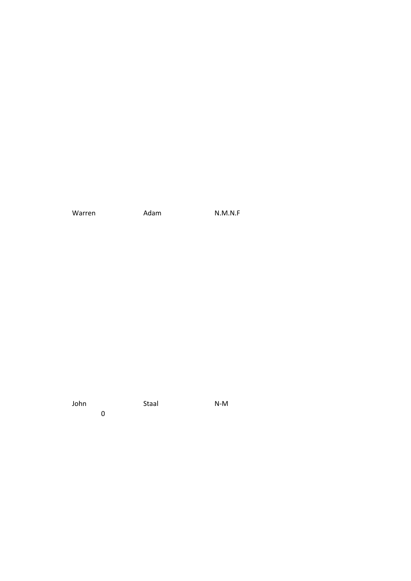Warren M.Adam N.M.N.F

John Staal N-M 0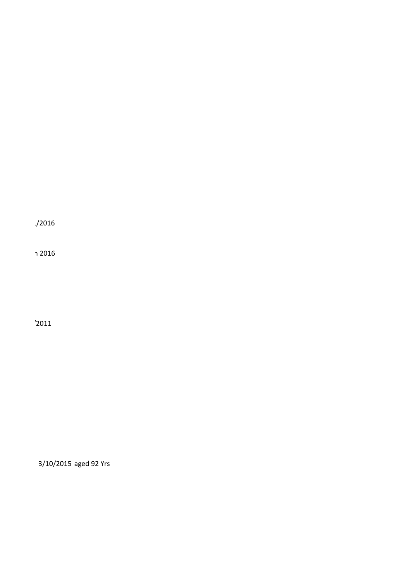$/2016$ 

า 2016

2011

3/10/2015 aged 92 Yrs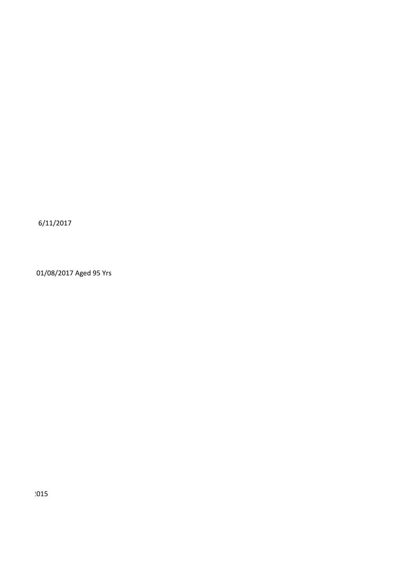6/11/2017

01/08/2017 Aged 95 Yrs

015